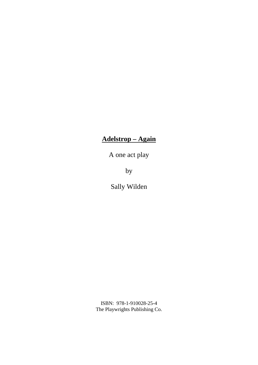# **Adelstrop – Again**

A one act play

by

Sally Wilden

ISBN: 978-1-910028-25-4 The Playwrights Publishing Co.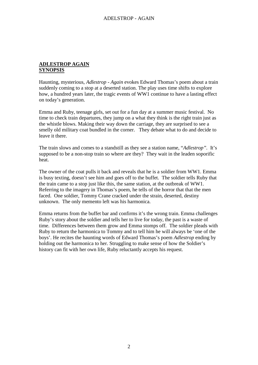#### **ADLESTROP AGAIN SYNOPSIS**

Haunting, mysterious, *Adlestrop - Again* evokes Edward Thomas's poem about a train suddenly coming to a stop at a deserted station. The play uses time shifts to explore how, a hundred years later, the tragic events of WW1 continue to have a lasting effect on today's generation.

Emma and Ruby, teenage girls, set out for a fun day at a summer music festival. No time to check train departures, they jump on a what they think is the right train just as the whistle blows. Making their way down the carriage, they are surprised to see a smelly old military coat bundled in the corner. They debate what to do and decide to leave it there.

The train slows and comes to a standstill as they see a station name, "*Adlestrop".* It's supposed to be a non-stop train so where are they? They wait in the leaden soporific heat.

The owner of the coat pulls it back and reveals that he is a soldier from WW1. Emma is busy texting, doesn't see him and goes off to the buffet. The soldier tells Ruby that the train came to a stop just like this, the same station, at the outbreak of WW1. Referring to the imagery in Thomas's poem, he tells of the horror that that the men faced. One soldier, Tommy Crane cracked under the strain, deserted, destiny unknown. The only memento left was his harmonica.

Emma returns from the buffet bar and confirms it's the wrong train. Emma challenges Ruby's story about the soldier and tells her to live for today, the past is a waste of time. Differences between them grow and Emma stomps off. The soldier pleads with Ruby to return the harmonica to Tommy and to tell him he will always be 'one of the boys'. He recites the haunting words of Edward Thomas's poem *Adlestrop* ending by holding out the harmonica to her. Struggling to make sense of how the Soldier's history can fit with her own life, Ruby reluctantly accepts his request.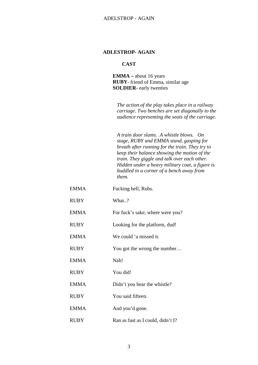#### **CAST**

**EMMA –** about 16 years **RUBY**- friend of Emma, similar age **SOLDIER-** early twenties

*The action of the play takes place in a railway carriage. Two benches are set diagonally to the audience representing the seats of the carriage.*

*A train door slams. A whistle blows. On stage, RUBY and EMMA stand, gasping for breath after running for the train. They try to keep their balance showing the motion of the train. They giggle and talk over each other. Hidden under a heavy military coat, a figure is huddled in a corner of a bench away from them.*

- EMMA Fucking hell, Rubs.
- RUBY What..?
- EMMA For fuck's sake, where were you?
- RUBY Looking for the platform, dud!
- EMMA We could 'a missed it.
- RUBY You got the wrong the number...
- EMMA Nah!
- RUBY You did!
- EMMA Didn't you hear the whistle?
- RUBY You said fifteen.
- EMMA And you'd gone.
- RUBY Ran as fast as I could, didn't I?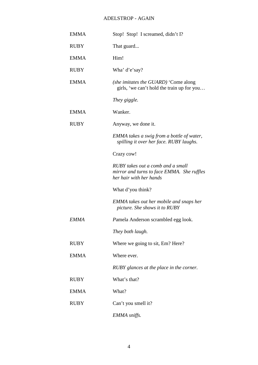| <b>EMMA</b> | Stop! Stop! I screamed, didn't I?                                                                          |
|-------------|------------------------------------------------------------------------------------------------------------|
| <b>RUBY</b> | That guard                                                                                                 |
| <b>EMMA</b> | Him!                                                                                                       |
| <b>RUBY</b> | Wha' d'e'say?                                                                                              |
| <b>EMMA</b> | (she imitates the GUARD) 'Come along<br>girls, 'we can't hold the train up for you                         |
|             | They giggle.                                                                                               |
| <b>EMMA</b> | Wanker.                                                                                                    |
| <b>RUBY</b> | Anyway, we done it.                                                                                        |
|             | EMMA takes a swig from a bottle of water,<br>spilling it over her face. RUBY laughs.                       |
|             | Crazy cow!                                                                                                 |
|             | RUBY takes out a comb and a small<br>mirror and turns to face EMMA. She ruffles<br>her hair with her hands |
|             | What d'you think?                                                                                          |
|             | <b>EMMA</b> takes out her mobile and snaps her<br>picture. She shows it to RUBY                            |
| <b>EMMA</b> | Pamela Anderson scrambled egg look.                                                                        |
|             | They both laugh.                                                                                           |
| <b>RUBY</b> | Where we going to sit, Em? Here?                                                                           |
| <b>EMMA</b> | Where ever.                                                                                                |
|             | RUBY glances at the place in the corner.                                                                   |
| <b>RUBY</b> | What's that?                                                                                               |
| <b>EMMA</b> | What?                                                                                                      |
| <b>RUBY</b> | Can't you smell it?                                                                                        |
|             | EMMA sniffs.                                                                                               |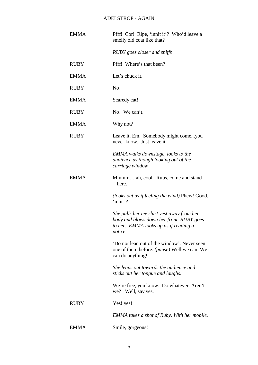| <b>EMMA</b> | Pfff! Cor! Ripe, 'innit it'? Who'd leave a<br>smelly old coat like that?                                                                   |
|-------------|--------------------------------------------------------------------------------------------------------------------------------------------|
|             | RUBY goes closer and sniffs                                                                                                                |
| RUBY        | Pfff! Where's that been?                                                                                                                   |
| <b>EMMA</b> | Let's chuck it.                                                                                                                            |
| <b>RUBY</b> | No!                                                                                                                                        |
| <b>EMMA</b> | Scaredy cat!                                                                                                                               |
| <b>RUBY</b> | No! We can't.                                                                                                                              |
| <b>EMMA</b> | Why not?                                                                                                                                   |
| <b>RUBY</b> | Leave it, Em. Somebody might comeyou<br>never know. Just leave it.                                                                         |
|             | <b>EMMA</b> walks downstage, looks to the<br>audience as though looking out of the<br>carriage window                                      |
| <b>EMMA</b> | Mmmm ah, cool. Rubs, come and stand<br>here.                                                                                               |
|             | <i>(looks out as if feeling the wind)</i> Phew! Good,<br>'innit'?                                                                          |
|             | She pulls her tee shirt vest away from her<br>body and blows down her front. RUBY goes<br>to her. EMMA looks up as if reading a<br>notice. |
|             | 'Do not lean out of the window'. Never seen<br>one of them before. <i>(pause)</i> Well we can. We<br>can do anything!                      |
|             | She leans out towards the audience and<br>sticks out her tongue and laughs.                                                                |
|             | We're free, you know. Do whatever. Aren't<br>we? Well, say yes.                                                                            |
| <b>RUBY</b> | Yes! yes!                                                                                                                                  |
|             | <b>EMMA</b> takes a shot of Ruby. With her mobile.                                                                                         |
| <b>EMMA</b> | Smile, gorgeous!                                                                                                                           |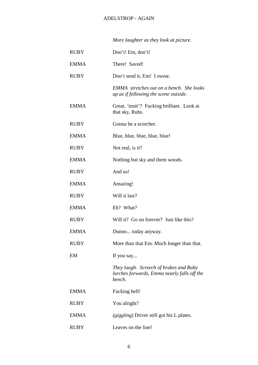|             | More laughter as they look at picture.                                                          |
|-------------|-------------------------------------------------------------------------------------------------|
| RUBY        | Don't! Em, don't!                                                                               |
| EMMA        | There! Saved!                                                                                   |
| RUBY        | Don't send it, Em! I swear.                                                                     |
|             | EMMA stretches out on a bench. She looks<br>up as if following the scene outside.               |
| <b>EMMA</b> | Great, 'innit'? Fucking brilliant. Look at<br>that sky, Rubs.                                   |
| RUBY        | Gonna be a scorcher.                                                                            |
| <b>EMMA</b> | Blue, blue, blue, blue, blue!                                                                   |
| <b>RUBY</b> | Not real, is it?                                                                                |
| <b>EMMA</b> | Nothing but sky and them woods.                                                                 |
| RUBY        | And us!                                                                                         |
| <b>EMMA</b> | Amazing!                                                                                        |
| RUBY        | Will it last?                                                                                   |
| <b>EMMA</b> | Eh? What?                                                                                       |
| <b>RUBY</b> | Will it? Go on forever? Just like this?                                                         |
| EMMA        | Dunno today anyway.                                                                             |
| <b>RUBY</b> | More than that Em. Much longer than that.                                                       |
| EM          | If you say                                                                                      |
|             | They laugh. Screech of brakes and Ruby<br>lurches forwards, Emma nearly falls off the<br>bench. |
| <b>EMMA</b> | Fucking hell!                                                                                   |
| RUBY        | You alright?                                                                                    |
| EMMA        | (giggling) Driver still got his L plates.                                                       |
| RUBY        | Leaves on the line!                                                                             |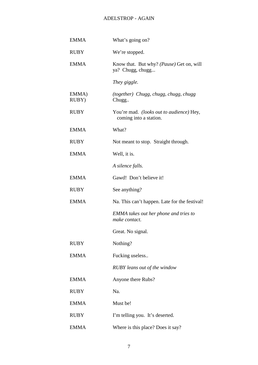| <b>EMMA</b>    | What's going on?                                                          |
|----------------|---------------------------------------------------------------------------|
| <b>RUBY</b>    | We're stopped.                                                            |
| <b>EMMA</b>    | Know that. But why? (Pause) Get on, will<br>ya? Chugg, chugg              |
|                | They giggle.                                                              |
| EMMA)<br>RUBY) | (together) Chugg, chugg, chugg, chugg<br>Chugg                            |
| <b>RUBY</b>    | You're mad. <i>(looks out to audience)</i> Hey,<br>coming into a station. |
| <b>EMMA</b>    | What?                                                                     |
| <b>RUBY</b>    | Not meant to stop. Straight through.                                      |
| <b>EMMA</b>    | Well, it is.                                                              |
|                | A silence falls.                                                          |
| <b>EMMA</b>    | Gawd! Don't believe it!                                                   |
| <b>RUBY</b>    | See anything?                                                             |
| <b>EMMA</b>    | Na. This can't happen. Late for the festival!                             |
|                | <b>EMMA</b> takes out her phone and tries to<br>make contact.             |
|                | Great. No signal.                                                         |
| <b>RUBY</b>    | Nothing?                                                                  |
| <b>EMMA</b>    | Fucking useless                                                           |
|                | <b>RUBY</b> leans out of the window                                       |
| <b>EMMA</b>    | Anyone there Rubs?                                                        |
| <b>RUBY</b>    | Na.                                                                       |
| <b>EMMA</b>    | Must be!                                                                  |
| <b>RUBY</b>    | I'm telling you. It's deserted.                                           |
| <b>EMMA</b>    | Where is this place? Does it say?                                         |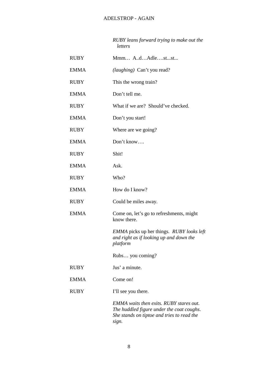*RUBY leans forward trying to make out the letters*

| <b>RUBY</b> | Mmm A.dAdlestst                                                                                                                                    |
|-------------|----------------------------------------------------------------------------------------------------------------------------------------------------|
| <b>EMMA</b> | <i>(laughing)</i> Can't you read?                                                                                                                  |
| <b>RUBY</b> | This the wrong train?                                                                                                                              |
| <b>EMMA</b> | Don't tell me.                                                                                                                                     |
| <b>RUBY</b> | What if we are? Should've checked.                                                                                                                 |
| <b>EMMA</b> | Don't you start!                                                                                                                                   |
| <b>RUBY</b> | Where are we going?                                                                                                                                |
| <b>EMMA</b> | Don't know                                                                                                                                         |
| <b>RUBY</b> | Shit!                                                                                                                                              |
| <b>EMMA</b> | Ask.                                                                                                                                               |
| <b>RUBY</b> | Who?                                                                                                                                               |
| <b>EMMA</b> | How do I know?                                                                                                                                     |
| <b>RUBY</b> | Could be miles away.                                                                                                                               |
| <b>EMMA</b> | Come on, let's go to refreshments, might<br>know there.                                                                                            |
|             | <i>EMMA</i> picks up her things. <i>RUBY looks left</i><br>and right as if looking up and down the<br>platform                                     |
|             | Rubs you coming?                                                                                                                                   |
| <b>RUBY</b> | Jus' a minute.                                                                                                                                     |
| <b>EMMA</b> | Come on!                                                                                                                                           |
| <b>RUBY</b> | I'll see you there.                                                                                                                                |
|             | <b>EMMA</b> waits then exits. RUBY stares out.<br>The huddled figure under the coat coughs.<br>She stands on tiptoe and tries to read the<br>sign. |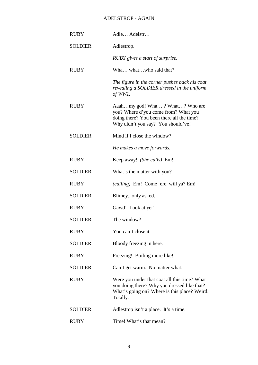| <b>RUBY</b>    | Adle Adelstr                                                                                                                                              |
|----------------|-----------------------------------------------------------------------------------------------------------------------------------------------------------|
| <b>SOLDIER</b> | Adlestrop.                                                                                                                                                |
|                | RUBY gives a start of surprise.                                                                                                                           |
| <b>RUBY</b>    | Wha whatwho said that?                                                                                                                                    |
|                | The figure in the corner pushes back his coat<br>revealing a SOLDIER dressed in the uniform<br>of WW1.                                                    |
| <b>RUBY</b>    | Aaahmy god! Wha? What? Who are<br>you? Where d'you come from? What you<br>doing there? You been there all the time?<br>Why didn't you say? You should've! |
| <b>SOLDIER</b> | Mind if I close the window?                                                                                                                               |
|                | He makes a move forwards.                                                                                                                                 |
| <b>RUBY</b>    | Keep away! (She calls) Em!                                                                                                                                |
| <b>SOLDIER</b> | What's the matter with you?                                                                                                                               |
| <b>RUBY</b>    | (calling) Em! Come 'ere, will ya? Em!                                                                                                                     |
| <b>SOLDIER</b> | Blimeyonly asked.                                                                                                                                         |
| <b>RUBY</b>    | Gawd! Look at yer!                                                                                                                                        |
| <b>SOLDIER</b> | The window?                                                                                                                                               |
| <b>RUBY</b>    | You can't close it.                                                                                                                                       |
| <b>SOLDIER</b> | Bloody freezing in here.                                                                                                                                  |
| <b>RUBY</b>    | Freezing! Boiling more like!                                                                                                                              |
| <b>SOLDIER</b> | Can't get warm. No matter what.                                                                                                                           |
| <b>RUBY</b>    | Were you under that coat all this time? What<br>you doing there? Why you dressed like that?<br>What's going on? Where is this place? Weird.<br>Totally.   |
| <b>SOLDIER</b> | Adlestrop isn't a place. It's a time.                                                                                                                     |
| <b>RUBY</b>    | Time! What's that mean?                                                                                                                                   |